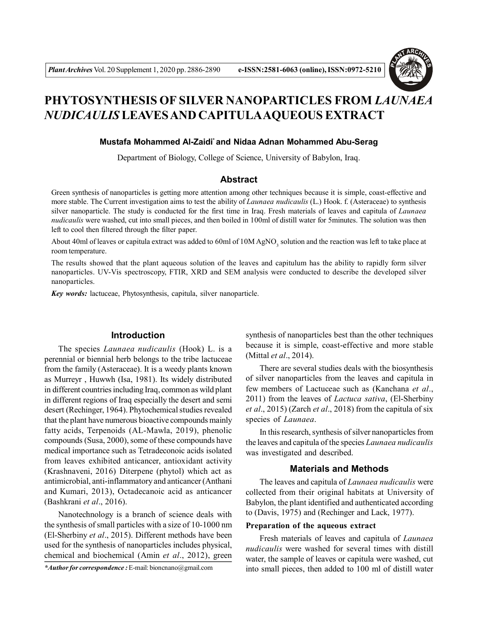

# **PHYTOSYNTHESIS OF SILVER NANOPARTICLES FROM** *LAUNAEA NUDICAULIS* **LEAVES AND CAPITULAAQUEOUS EXTRACT**

#### **Mustafa Mohammed Al-Zaidi\* and Nidaa Adnan Mohammed Abu-Serag**

Department of Biology, College of Science, University of Babylon, Iraq.

## **Abstract**

Green synthesis of nanoparticles is getting more attention among other techniques because it is simple, coast-effective and more stable. The Current investigation aims to test the ability of *Launaea nudicaulis* (L.) Hook. f. (Asteraceae) to synthesis silver nanoparticle. The study is conducted for the first time in Iraq. Fresh materials of leaves and capitula of *Launaea nudicaulis* were washed, cut into small pieces, and then boiled in 100ml of distill water for 5minutes. The solution was then left to cool then filtered through the filter paper.

About 40ml of leaves or capitula extract was added to 60ml of  $10M$  AgNO<sub>3</sub> solution and the reaction was left to take place at room temperature.

The results showed that the plant aqueous solution of the leaves and capitulum has the ability to rapidly form silver nanoparticles. UV-Vis spectroscopy, FTIR, XRD and SEM analysis were conducted to describe the developed silver nanoparticles.

*Key words:* lactuceae, Phytosynthesis, capitula, silver nanoparticle.

### **Introduction**

The species *Launaea nudicaulis* (Hook) L. is a perennial or biennial herb belongs to the tribe lactuceae from the family (Asteraceae). It is a weedy plants known as Murreyr , Huwwh (Isa, 1981). Its widely distributed in different countries including Iraq, common as wild plant in different regions of Iraq especially the desert and semi desert (Rechinger, 1964). Phytochemical studies revealed that the plant have numerous bioactive compounds mainly fatty acids, Terpenoids (AL-Mawla, 2019), phenolic compounds (Susa, 2000), some of these compounds have medical importance such as Tetradeconoic acids isolated from leaves exhibited anticancer, antioxidant activity (Krashnaveni, 2016) Diterpene (phytol) which act as antimicrobial, anti-inflammatory and anticancer (Anthani and Kumari, 2013), Octadecanoic acid as anticancer (Bashkrani *et al*., 2016).

Nanotechnology is a branch of science deals with the synthesis of small particles with a size of 10-1000 nm (El-Sherbiny *et al*., 2015). Different methods have been used for the synthesis of nanoparticles includes physical, chemical and biochemical (Amin *et al*., 2012), green

*\*Author for correspondence :* E-mail: bioncnano@gmail.com

synthesis of nanoparticles best than the other techniques because it is simple, coast-effective and more stable (Mittal *et al*., 2014).

There are several studies deals with the biosynthesis of silver nanoparticles from the leaves and capitula in few members of Lactuceae such as (Kanchana *et al*., 2011) from the leaves of *Lactuca sativa*, (El-Sherbiny *et al*., 2015) (Zarch *et al*., 2018) from the capitula of six species of *Launaea*.

In this research, synthesis of silver nanoparticles from the leaves and capitula of the species *Launaea nudicaulis* was investigated and described.

# **Materials and Methods**

The leaves and capitula of *Launaea nudicaulis* were collected from their original habitats at University of Babylon, the plant identified and authenticated according to (Davis, 1975) and (Rechinger and Lack, 1977).

#### **Preparation of the aqueous extract**

Fresh materials of leaves and capitula of *Launaea nudicaulis* were washed for several times with distill water, the sample of leaves or capitula were washed, cut into small pieces, then added to 100 ml of distill water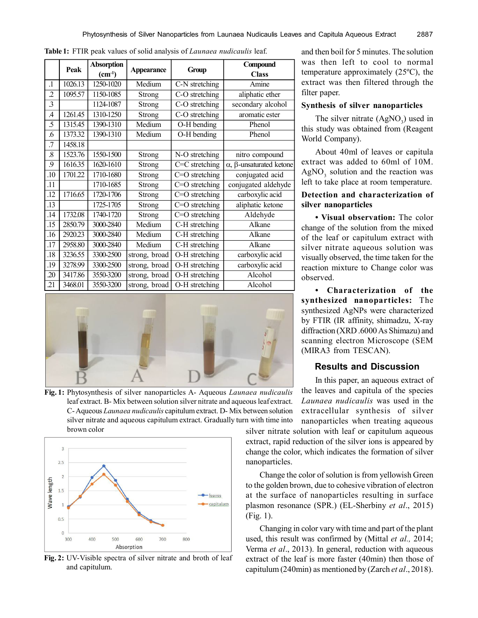|                  | Peak    | <b>Absorption</b> | <b>Appearance</b> | Group            | Compound                               |
|------------------|---------|-------------------|-------------------|------------------|----------------------------------------|
|                  |         | $(cm^{-1})$       |                   |                  | <b>Class</b>                           |
| $\cdot$ 1        | 1026.13 | $1250 - 1020$     | Medium            | C-N stretching   | Amine                                  |
| $\overline{2}$   | 1095.57 | 1150-1085         | <b>Strong</b>     | C-O stretching   | aliphatic ether                        |
| $\overline{3}$   |         | 1124-1087         | Strong            | C-O stretching   | secondary alcohol                      |
| $\overline{A}$   | 1261.45 | 1310-1250         | Strong            | C-O stretching   | aromatic ester                         |
| .5               | 1315.45 | 1390-1310         | Medium            | O-H bending      | Phenol                                 |
| .6               | 1373.32 | 1390-1310         | Medium            | O-H bending      | Phenol                                 |
| .7               | 1458.18 |                   |                   |                  |                                        |
| $\boldsymbol{8}$ | 1523.76 | 1550-1500         | <b>Strong</b>     | N-O stretching   | nitro compound                         |
| 9                | 1616.35 | 1620-1610         | Strong            | $C=C$ stretching | $\alpha$ , $\beta$ -unsaturated ketone |
| .10              | 1701.22 | 1710-1680         | Strong            | $C=O$ stretching | conjugated acid                        |
| .11              |         | 1710-1685         | Strong            | $C=O$ stretching | conjugated aldehyde                    |
| .12              | 1716.65 | 1720-1706         | Strong            | $C=O$ stretching | carboxylic acid                        |
| .13              |         | 1725-1705         | Strong            | $C=O$ stretching | aliphatic ketone                       |
| .14              | 1732.08 | 1740-1720         | Strong            | $C=O$ stretching | Aldehyde                               |
| .15              | 2850.79 | 3000-2840         | Medium            | C-H stretching   | Alkane                                 |
| .16              | 2920.23 | 3000-2840         | Medium            | C-H stretching   | Alkane                                 |
| .17              | 2958.80 | 3000-2840         | Medium            | C-H stretching   | Alkane                                 |
| .18              | 3236.55 | 3300-2500         | strong, broad     | O-H stretching   | carboxylic acid                        |
| .19              | 3278.99 | 3300-2500         | strong, broad     | O-H stretching   | carboxylic acid                        |
| .20              | 3417.86 | 3550-3200         | broad<br>strong,  | O-H stretching   | Alcohol                                |
| 21               | 3468.01 | 3550-3200         | strong, broad     | O-H stretching   | Alcohol                                |

**Table 1:** FTIR peak values of solid analysis of *Launaea nudicaulis* leaf.



**Fig. 1:** Phytosynthesis of silver nanoparticles A- Aqueous *Launaea nudicaulis* leaf extract. B- Mix between solution silver nitrate and aqueous leaf extract. C-Aqueous *Launaea nudicaulis* capitulum extract. D- Mix between solution silver nitrate and aqueous capitulum extract. Gradually turn with time into brown color



**Fig. 2:** UV-Visible spectra of silver nitrate and broth of leaf and capitulum.

and then boil for 5 minutes. The solution was then left to cool to normal temperature approximately (25ºC), the extract was then filtered through the filter paper.

#### **Synthesis of silver nanoparticles**

The silver nitrate  $(AgNO<sub>3</sub>)$  used in this study was obtained from (Reagent World Company).

About 40ml of leaves or capitula extract was added to 60ml of 10M.  $AgNO<sub>3</sub>$  solution and the reaction was left to take place at room temperature.

# **Detection and characterization of silver nanoparticles**

**• Visual observation:** The color change of the solution from the mixed of the leaf or capitulum extract with silver nitrate aqueous solution was visually observed, the time taken for the reaction mixture to Change color was observed.

**• Characterization of the synthesized nanoparticles:** The synthesized AgNPs were characterized by FTIR (IR affinity, shimadzu, X-ray diffraction (XRD .6000 As Shimazu) and scanning electron Microscope (SEM (MIRA3 from TESCAN).

### **Results and Discussion**

In this paper, an aqueous extract of the leaves and capitula of the species *Launaea nudicaulis* was used in the extracellular synthesis of silver nanoparticles when treating aqueous

silver nitrate solution with leaf or capitulum aqueous extract, rapid reduction of the silver ions is appeared by change the color, which indicates the formation of silver nanoparticles.

Change the color of solution is from yellowish Green to the golden brown, due to cohesive vibration of electron at the surface of nanoparticles resulting in surface plasmon resonance (SPR.) (EL-Sherbiny *et al*., 2015) (Fig. 1).

Changing in color vary with time and part of the plant used, this result was confirmed by (Mittal *et al.,* 2014; Verma *et al*., 2013). In general, reduction with aqueous extract of the leaf is more faster (40min) then those of capitulum (240min) as mentioned by (Zarch *et al*., 2018).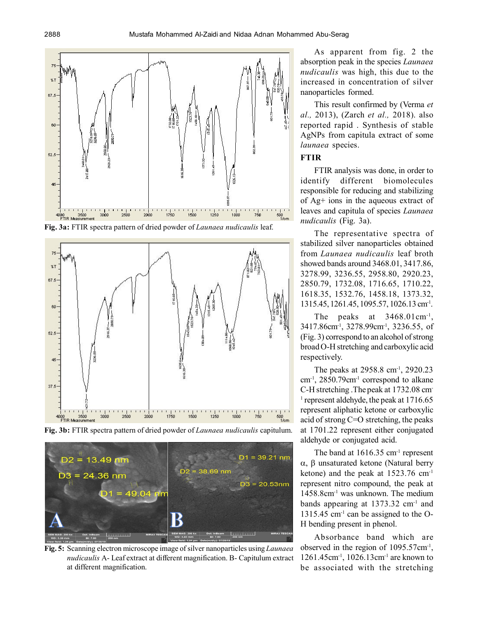

**Fig. 3a:** FTIR spectra pattern of dried powder of *Launaea nudicaulis* leaf.



**Fig. 3b:** FTIR spectra pattern of dried powder of *Launaea nudicaulis* capitulum.



**Fig. 5:** Scanning electron microscope image of silver nanoparticles using *Launaea nudicaulis* A- Leaf extract at different magnification. B- Capitulum extract at different magnification.

As apparent from fig. 2 the absorption peak in the species *Launaea nudicaulis* was high, this due to the increased in concentration of silver nanoparticles formed.

This result confirmed by (Verma *et al.,* 2013), (Zarch *et al.,* 2018). also reported rapid . Synthesis of stable AgNPs from capitula extract of some *launaea* species.

#### **FTIR**

FTIR analysis was done, in order to identify different biomolecules responsible for reducing and stabilizing of Ag+ ions in the aqueous extract of leaves and capitula of species *Launaea nudicaulis* (Fig. 3a).

The representative spectra of stabilized silver nanoparticles obtained from *Launaea nudicaulis* leaf broth showed bands around 3468.01, 3417.86, 3278.99, 3236.55, 2958.80, 2920.23, 2850.79, 1732.08, 1716.65, 1710.22, 1618.35, 1532.76, 1458.18, 1373.32, 1315.45, 1261.45, 1095.57, 1026.13 cm<sup>-1</sup>.

The peaks at 3468.01 cm<sup>-1</sup>, 3417.86cm-1, 3278.99cm-1 , 3236.55, of (Fig. 3) correspond to an alcohol of strong broad O-H stretching and carboxylic acid respectively.

The peaks at 2958.8 cm<sup>-1</sup>, 2920.23 cm-1 , 2850.79cm-1 correspond to alkane C-H stretching .The peak at 1732.08 cm-<sup>1</sup> represent aldehyde, the peak at 1716.65 represent aliphatic ketone or carboxylic acid of strong C=O stretching, the peaks at 1701.22 represent either conjugated aldehyde or conjugated acid.

The band at  $1616.35$  cm<sup>-1</sup> represent  $\alpha$ ,  $\beta$  unsaturated ketone (Natural berry ketone) and the peak at 1523.76 cm-1 represent nitro compound, the peak at 1458.8cm-1 was unknown. The medium bands appearing at 1373.32 cm-1 and  $1315.45$  cm<sup>-1</sup> can be assigned to the O-H bending present in phenol.

Absorbance band which are observed in the region of  $1095.57 \text{cm}^{-1}$ , 1261.45cm-1 , 1026.13cm-1 are known to be associated with the stretching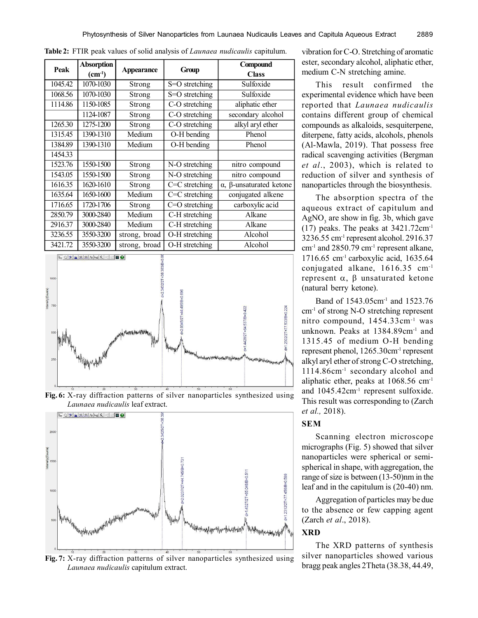|         | <b>Absorption</b> |                   | Group            | Compound                               |
|---------|-------------------|-------------------|------------------|----------------------------------------|
| Peak    | $(cm-1)$          | <b>Appearance</b> |                  | <b>Class</b>                           |
| 1045.42 | 1070-1030         | Strong            | S=O stretching   | Sulfoxide                              |
| 1068.56 | 1070-1030         | Strong            | S=O stretching   | Sulfoxide                              |
| 1114.86 | 1150-1085         | Strong            | C-O stretching   | aliphatic ether                        |
|         | 1124-1087         | Strong            | C-O stretching   | secondary alcohol                      |
| 1265.30 | 1275-1200         | Strong            | C-O stretching   | alkyl aryl ether                       |
| 1315.45 | 1390-1310         | Medium            | O-H bending      | Phenol                                 |
| 1384.89 | 1390-1310         | Medium            | O-H bending      | Phenol                                 |
| 1454.33 |                   |                   |                  |                                        |
| 1523.76 | 1550-1500         | Strong            | N-O stretching   | nitro compound                         |
| 1543.05 | 1550-1500         | Strong            | N-O stretching   | nitro compound                         |
| 1616.35 | 1620-1610         | Strong            | $C=C$ stretching | $\alpha$ , $\beta$ -unsaturated ketone |
| 1635.64 | 1650-1600         | Medium            | $C=C$ stretching | conjugated alkene                      |
| 1716.65 | 1720-1706         | Strong            | C=O stretching   | carboxylic acid                        |
| 2850.79 | 3000-2840         | Medium            | C-H stretching   | Alkane                                 |
| 2916.37 | 3000-2840         | Medium            | C-H stretching   | Alkane                                 |
| 3236.55 | 3550-3200         | strong, broad     | O-H stretching   | Alcohol                                |
| 3421.72 | 3550-3200         | strong, broad     | O-H stretching   | Alcohol                                |

**Table 2:** FTIR peak values of solid analysis of *Launaea nudicaulis* capitulum.







**Fig. 7:** X-ray diffraction patterns of silver nanoparticles synthesized using *Launaea nudicaulis* capitulum extract.

vibration for C-O. Stretching of aromatic ester, secondary alcohol, aliphatic ether, medium C-N stretching amine.

This result confirmed the experimental evidence which have been reported that *Launaea nudicaulis* contains different group of chemical compounds as alkaloids, sesquiterpene, diterpene, fatty acids, alcohols, phenols (Al-Mawla, 2019). That possess free radical scavenging activities (Bergman *et al*., 2003), which is related to reduction of silver and synthesis of nanoparticles through the biosynthesis.

The absorption spectra of the aqueous extract of capitulum and  $AgNO<sub>3</sub>$  are show in fig. 3b, which gave (17) peaks. The peaks at 3421.72cm-1 3236.55 cm-1 represent alcohol. 2916.37  $cm^{-1}$  and 2850.79  $cm^{-1}$  represent alkane,  $1716.65$  cm<sup>-1</sup> carboxylic acid,  $1635.64$ conjugated alkane, 1616.35 cm-1 represent  $\alpha$ ,  $\beta$  unsaturated ketone (natural berry ketone).

Band of 1543.05cm-1 and 1523.76 cm-1 of strong N-O stretching represent nitro compound, 1454.33cm-1 was unknown. Peaks at 1384.89cm-1 and 1315.45 of medium O-H bending represent phenol, 1265.30cm-1 represent alkyl aryl ether of strong C-O stretching, 1114.86cm-1 secondary alcohol and aliphatic ether, peaks at 1068.56 cm-1 and 1045.42cm-1 represent sulfoxide. This result was corresponding to (Zarch *et al.,* 2018).

# **SEM**

Scanning electron microscope micrographs (Fig. 5) showed that silver nanoparticles were spherical or semispherical in shape, with aggregation, the range of size is between (13-50)nm in the leaf and in the capitulum is (20-40) nm.

Aggregation of particles may be due to the absence or few capping agent (Zarch *et al*., 2018).

# **XRD**

The XRD patterns of synthesis silver nanoparticles showed various bragg peak angles 2Theta (38.38, 44.49,